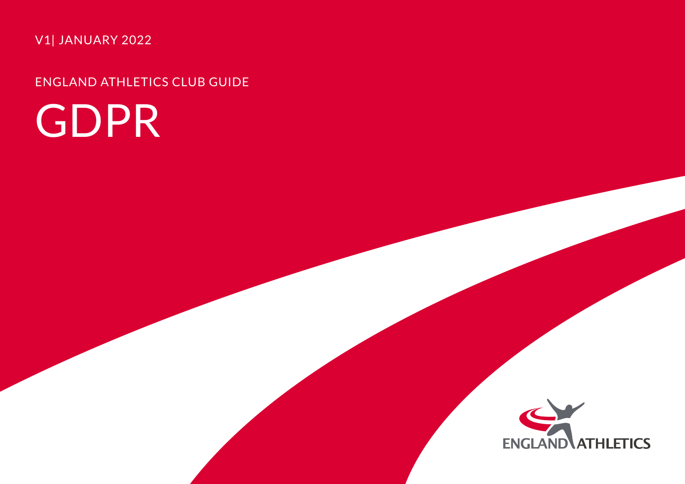V1| JANUARY 2022

ENGLAND ATHLETICS CLUB GUIDE

# GDPR

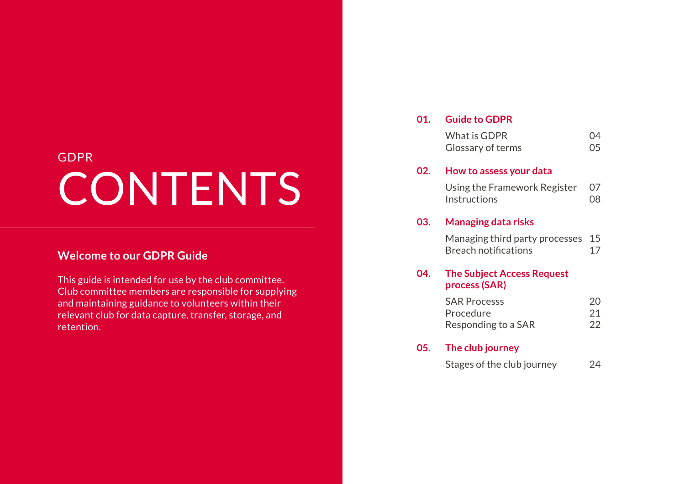## GDPR **CONTENTS**

#### **Welcome to our GDPR Guide**

This guide is intended for use by the club committee. Club committee members are responsible for supplying and maintaining guidance to volunteers within their relevant club for data capture, transfer, storage, and retention.

#### **01. Guide to GDPR**

| What is GDPR      | 04 |
|-------------------|----|
| Glossary of terms | 05 |

#### **02. How to assess your data**

| Using the Framework Register 07 |     |
|---------------------------------|-----|
| <b>Instructions</b>             | .08 |

#### **03. Managing data risks**

Managing third party processes 15 Breach notifications 17

#### **04. The Subject Access Request process (SAR)**

| <b>SAR Processs</b> | 20. |
|---------------------|-----|
| Procedure           | 21  |
| Responding to a SAR | 22  |

#### **05. The club journey**

| Stages of the club journey | 24 |
|----------------------------|----|
|----------------------------|----|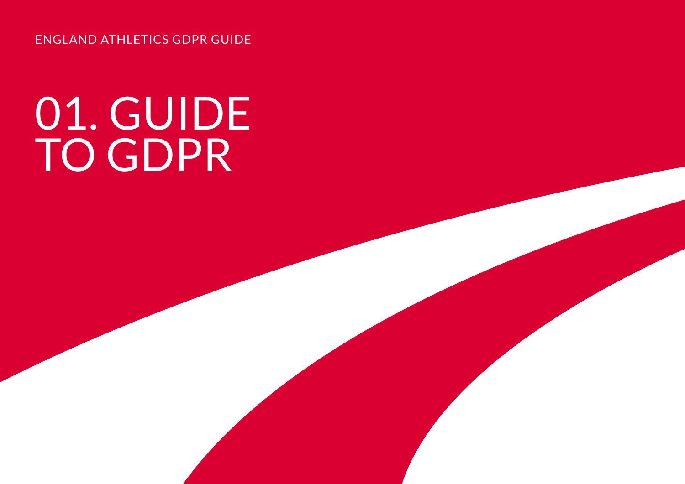ENGLAND ATHLETICS GDPR GUIDE

# 01. GUIDE TO GDPR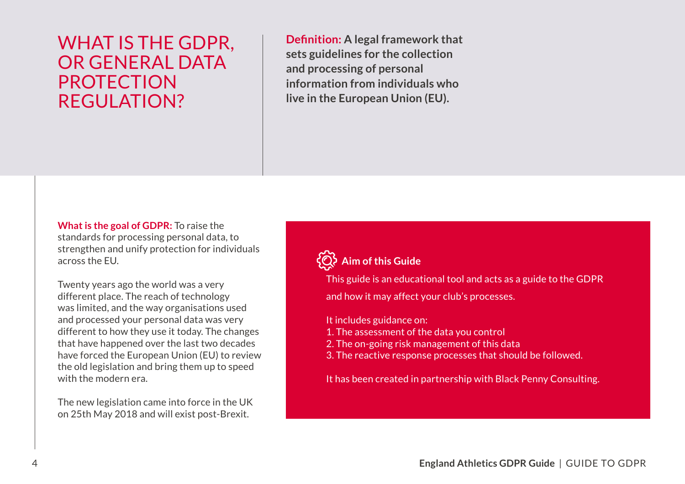## WHAT IS THE GDPR, OR GENERAL DATA PROTECTION REGULATION?

**Definition: A legal framework that sets guidelines for the collection and processing of personal information from individuals who live in the European Union (EU).** 

**What is the goal of GDPR:** To raise the standards for processing personal data, to strengthen and unify protection for individuals across the EU.<br>Twenty years ago the world was a very

different place. The reach of technology was limited, and the way organisations used and processed your personal data was very different to how they use it today. The changes that have happened over the last two decades have forced the European Union (EU) to review the old legislation and bring them up to speed with the modern era.<br>The new legislation came into force in the UK

on 25th May 2018 and will exist post-Brexit.

### **Aim of this Guide**

This guide is an educational tool and acts as a guide to the GDPR

and how it may affect your club's processes.

It includes guidance on:

- 1. The assessment of the data you control
- 2. The on-going risk management of this data
- 3. The reactive response processes that should be followed.

It has been created in partnership with Black Penny Consulting.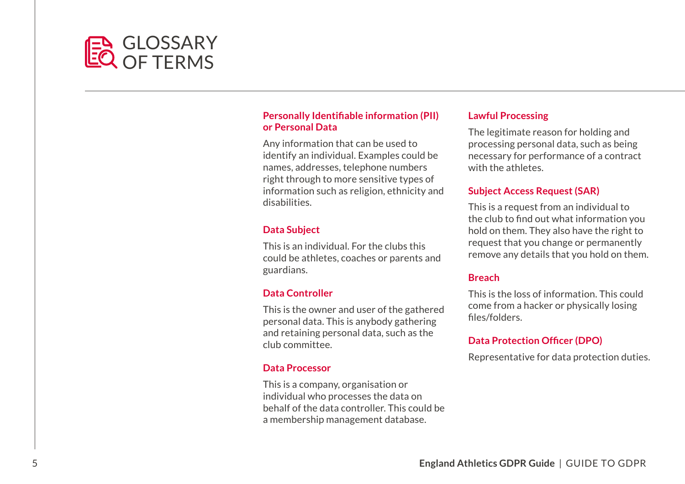## **GLOSSARY** OF TERMS

#### **Personally Identifiable information (PII) or Personal Data**

Any information that can be used to identify an individual. Examples could be names, addresses, telephone numbers right through to more sensitive types of information such as religion, ethnicity and disabilities.

#### **Data Subject**

This is an individual. For the clubs this could be athletes, coaches or parents and guardians.

#### **Data Controller**

This is the owner and user of the gathered personal data. This is anybody gathering and retaining personal data, such as the club committee.

#### **Data Processor**

This is a company, organisation or individual who processes the data on behalf of the data controller. This could be a membership management database.

#### **Lawful Processing**

The legitimate reason for holding and processing personal data, such as being necessary for performance of a contract with the athletes.

#### **Subject Access Request (SAR)**

 the club to find out what information you This is a request from an individual to hold on them. They also have the right to request that you change or permanently remove any details that you hold on them.

#### **Breach**

 files/folders. This is the loss of information. This could come from a hacker or physically losing

#### **Data Protection Officer (DPO)**

Representative for data protection duties.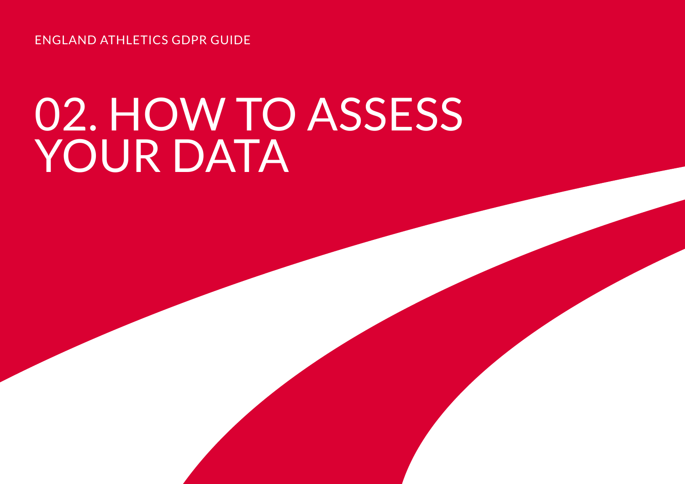ENGLAND ATHLETICS GDPR GUIDE

# 02. HOW TO ASSESS YOUR DATA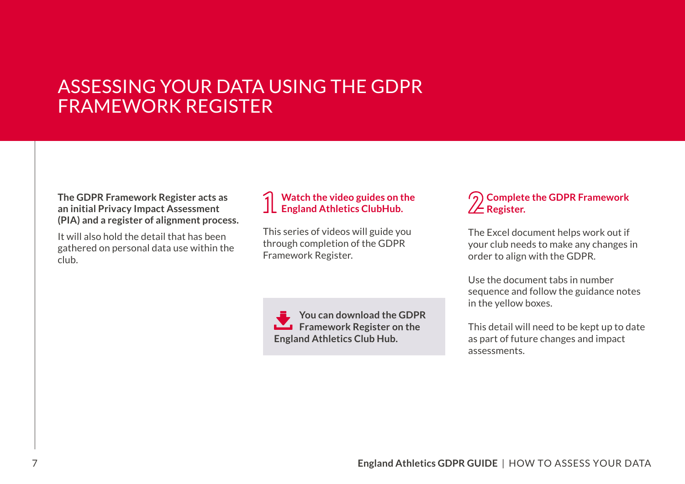## ASSESSING YOUR DATA USING THE GDPR FRAMEWORK REGISTER

#### **The GDPR Framework Register acts as an initial Privacy Impact Assessment (PIA) and a register of alignment process.**

It will also hold the detail that has been gathered on personal data use within the club.

#### **Watch the video guides on the England Athletics ClubHub.**

This series of videos will guide you through completion of the GDPR Framework Register.

**You can download the GDPR Framework Register on the England Athletics [Club Hub](http://www.englandathletics.org/resources).** 

#### **Complete the GDPR Framework ZE** Register.

The Excel document helps work out if your club needs to make any changes in order to align with the GDPR.

Use the document tabs in number sequence and follow the guidance notes in the yellow boxes.

This detail will need to be kept up to date as part of future changes and impact assessments.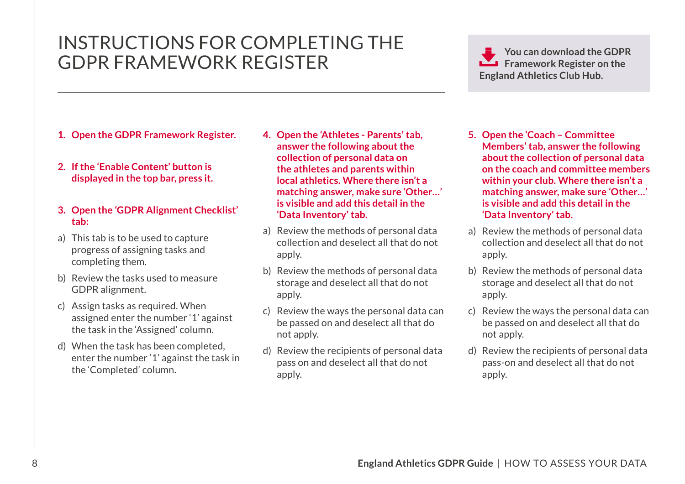## INSTRUCTIONS FOR COMPLETING THE GDPR FRAMEWORK REGISTER

#### **1. Open the GDPR Framework Register.**

**2. If the 'Enable Content' button is displayed in the top bar, press it.**

#### **3. Open the 'GDPR Alignment Checklist' tab:**

- a) This tab is to be used to capture progress of assigning tasks and completing them.
- b) Review the tasks used to measure GDPR alignment.
- c) Assign tasks as required. When assigned enter the number '1' against the task in the 'Assigned' column.
- d) When the task has been completed, enter the number '1' against the task in the 'Completed' column.
- **4. Open the 'Athletes Parents' tab, answer the following about the collection of personal data on the athletes and parents within local athletics. Where there isn't a matching answer, make sure 'Other…' is visible and add this detail in the 'Data Inventory' tab.**
- a) Review the methods of personal data collection and deselect all that do not apply.
- b) Review the methods of personal data storage and deselect all that do not apply.
- c) Review the ways the personal data can be passed on and deselect all that do not apply.
- d) Review the recipients of personal data pass on and deselect all that do not apply.

- **5. Open the 'Coach Committee Members' tab, answer the following about the collection of personal data on the coach and committee members within your club. Where there isn't a matching answer, make sure 'Other…' is visible and add this detail in the 'Data Inventory' tab.**
- a) Review the methods of personal data collection and deselect all that do not apply.
- b) Review the methods of personal data storage and deselect all that do not apply.
- c) Review the ways the personal data can be passed on and deselect all that do not apply.
- d) Review the recipients of personal data pass-on and deselect all that do not apply.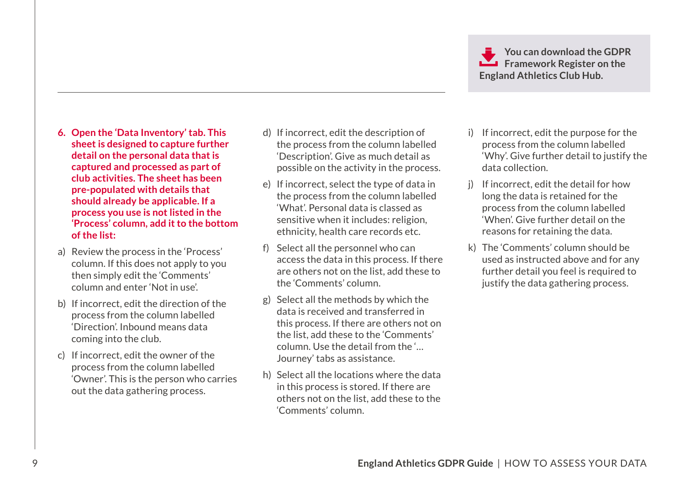- **6. Open the 'Data Inventory' tab. This sheet is designed to capture further detail on the personal data that is captured and processed as part of club activities. The sheet has been pre-populated with details that should already be applicable. If a process you use is not listed in the 'Process' column, add it to the bottom of the list:**
- a) Review the process in the 'Process' column. If this does not apply to you then simply edit the 'Comments' column and enter 'Not in use'.
- b) If incorrect, edit the direction of the process from the column labelled 'Direction'. Inbound means data coming into the club.
- c) If incorrect, edit the owner of the process from the column labelled 'Owner'. This is the person who carries out the data gathering process.
- d) If incorrect, edit the description of the process from the column labelled 'Description'. Give as much detail as possible on the activity in the process.
- e) If incorrect, select the type of data in the process from the column labelled 'What'. Personal data is classed as sensitive when it includes: religion, ethnicity, health care records etc.
- f) Select all the personnel who can access the data in this process. If there are others not on the list, add these to the 'Comments' column.
- g) Select all the methods by which the data is received and transferred in this process. If there are others not on the list, add these to the 'Comments' column. Use the detail from the '… Journey' tabs as assistance.
- h) Select all the locations where the data in this process is stored. If there are others not on the list, add these to the 'Comments' column.
- i) If incorrect, edit the purpose for the process from the column labelled 'Why'. Give further detail to justify the data collection.
- j) If incorrect, edit the detail for how long the data is retained for the process from the column labelled 'When'. Give further detail on the reasons for retaining the data.
- k) The 'Comments' column should be used as instructed above and for any further detail you feel is required to justify the data gathering process.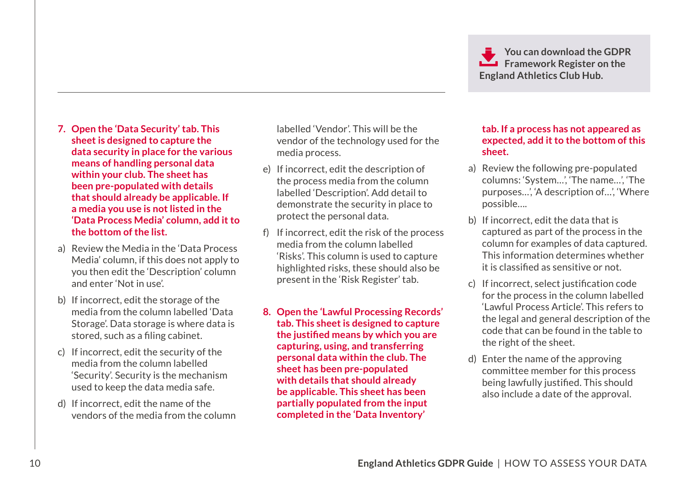- **7. Open the 'Data Security' tab. This sheet is designed to capture the data security in place for the various means of handling personal data within your club. The sheet has been pre-populated with details that should already be applicable. If a media you use is not listed in the 'Data Process Media' column, add it to the bottom of the list.**
- a) Review the Media in the 'Data Process Media' column, if this does not apply to you then edit the 'Description' column and enter 'Not in use'.
- stored, such as a filing cabinet. b) If incorrect, edit the storage of the media from the column labelled 'Data Storage'. Data storage is where data is
- c) If incorrect, edit the security of the media from the column labelled 'Security'. Security is the mechanism used to keep the data media safe.
- d) If incorrect, edit the name of the vendors of the media from the column

labelled 'Vendor'. This will be the vendor of the technology used for the media process.

- e) If incorrect, edit the description of the process media from the column labelled 'Description'. Add detail to demonstrate the security in place to protect the personal data.
- f) If incorrect, edit the risk of the process media from the column labelled 'Risks'. This column is used to capture highlighted risks, these should also be present in the 'Risk Register' tab.
- **8. Open the 'Lawful Processing Records' tab. This sheet is designed to capture the justified means by which you are capturing, using, and transferring personal data within the club. The sheet has been pre-populated with details that should already be applicable. This sheet has been partially populated from the input completed in the 'Data Inventory'**

#### **tab. If a process has not appeared as expected, add it to the bottom of this sheet.**

- a) Review the following pre-populated columns: 'System…', 'The name…', 'The purposes…', 'A description of…', 'Where possible….
- it is classified as sensitive or not. b) If incorrect, edit the data that is captured as part of the process in the column for examples of data captured. This information determines whether
- c) If incorrect, select justification code for the process in the column labelled 'Lawful Process Article'. This refers to the legal and general description of the code that can be found in the table to the right of the sheet.
- being lawfully justified. This should d) Enter the name of the approving committee member for this process also include a date of the approval.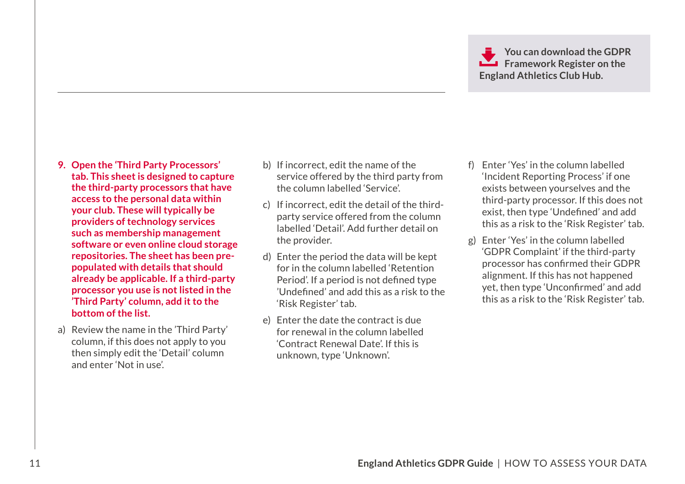- **9. Open the 'Third Party Processors' tab. This sheet is designed to capture the third-party processors that have access to the personal data within your club. These will typically be providers of technology services such as membership management software or even online cloud storage repositories. The sheet has been prepopulated with details that should already be applicable. If a third-party processor you use is not listed in the 'Third Party' column, add it to the bottom of the list.**
- a) Review the name in the 'Third Party' column, if this does not apply to you then simply edit the 'Detail' column and enter 'Not in use'.
- b) If incorrect, edit the name of the service offered by the third party from the column labelled 'Service'.
- c) If incorrect, edit the detail of the thirdparty service offered from the column labelled 'Detail'. Add further detail on the provider.
- Period'. If a period is not defined type 'Undefined' and add this as a risk to the d) Enter the period the data will be kept for in the column labelled 'Retention 'Risk Register' tab.
- e) Enter the date the contract is due for renewal in the column labelled 'Contract Renewal Date'. If this is unknown, type 'Unknown'.
- exist, then type 'Undefined' and add f) Enter 'Yes' in the column labelled 'Incident Reporting Process' if one exists between yourselves and the third-party processor. If this does not this as a risk to the 'Risk Register' tab.
- processor has confirmed their GDPR yet, then type 'Unconfirmed' and add g) Enter 'Yes' in the column labelled 'GDPR Complaint' if the third-party alignment. If this has not happened this as a risk to the 'Risk Register' tab.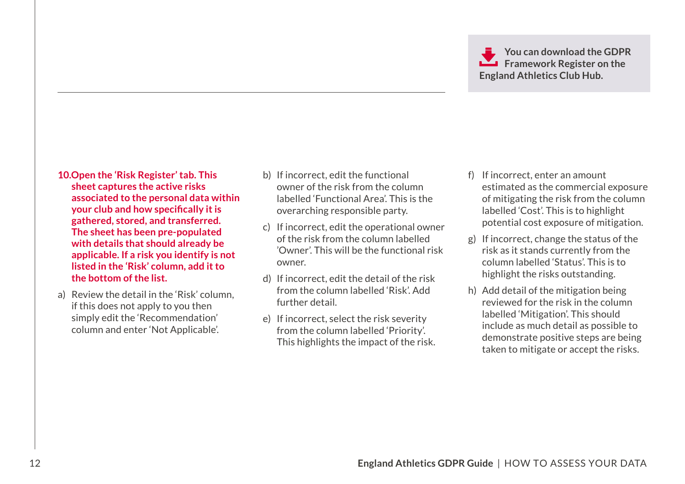- **10.Open the 'Risk Register' tab. This sheet captures the active risks associated to the personal data within your club and how specifically it is gathered, stored, and transferred. The sheet has been pre-populated with details that should already be applicable. If a risk you identify is not listed in the 'Risk' column, add it to the bottom of the list.**
- a) Review the detail in the 'Risk' column, if this does not apply to you then simply edit the 'Recommendation' column and enter 'Not Applicable'.
- b) If incorrect, edit the functional owner of the risk from the column labelled 'Functional Area'. This is the overarching responsible party.
- c) If incorrect, edit the operational owner of the risk from the column labelled 'Owner'. This will be the functional risk owner.
- d) If incorrect, edit the detail of the risk from the column labelled 'Risk'. Add further detail.
- e) If incorrect, select the risk severity from the column labelled 'Priority'. This highlights the impact of the risk.
- f) If incorrect, enter an amount estimated as the commercial exposure of mitigating the risk from the column labelled 'Cost'. This is to highlight potential cost exposure of mitigation.
- g) If incorrect, change the status of the risk as it stands currently from the column labelled 'Status'. This is to highlight the risks outstanding.
- h) Add detail of the mitigation being reviewed for the risk in the column labelled 'Mitigation'. This should include as much detail as possible to demonstrate positive steps are being taken to mitigate or accept the risks.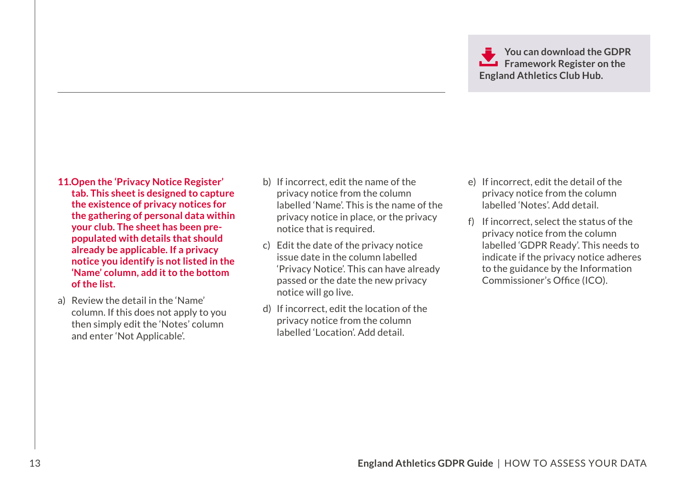- **11.Open the 'Privacy Notice Register' tab. This sheet is designed to capture the existence of privacy notices for the gathering of personal data within your club. The sheet has been prepopulated with details that should already be applicable. If a privacy notice you identify is not listed in the 'Name' column, add it to the bottom of the list.**
- a) Review the detail in the 'Name' column. If this does not apply to you then simply edit the 'Notes' column and enter 'Not Applicable'.
- b) If incorrect, edit the name of the privacy notice from the column labelled 'Name'. This is the name of the privacy notice in place, or the privacy notice that is required.
- c) Edit the date of the privacy notice issue date in the column labelled 'Privacy Notice'. This can have already passed or the date the new privacy notice will go live.
- d) If incorrect, edit the location of the privacy notice from the column labelled 'Location'. Add detail.
- e) If incorrect, edit the detail of the privacy notice from the column labelled 'Notes'. Add detail.
- Commissioner's Office (ICO). f) If incorrect, select the status of the privacy notice from the column labelled 'GDPR Ready'. This needs to indicate if the privacy notice adheres to the guidance by the Information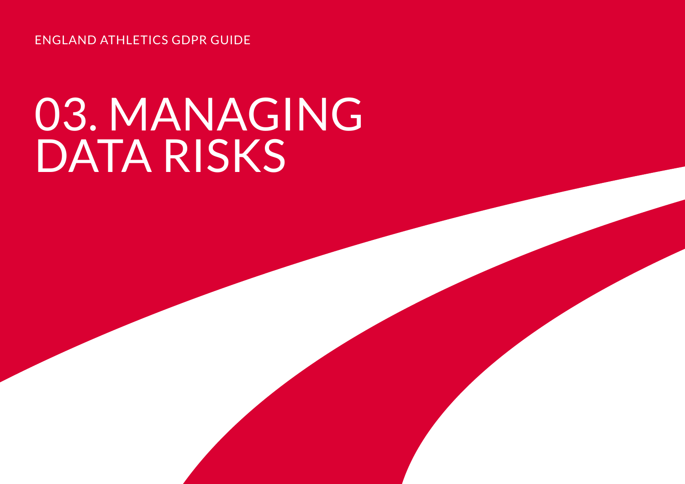ENGLAND ATHLETICS GDPR GUIDE

# 03. MANAGING DATA RISKS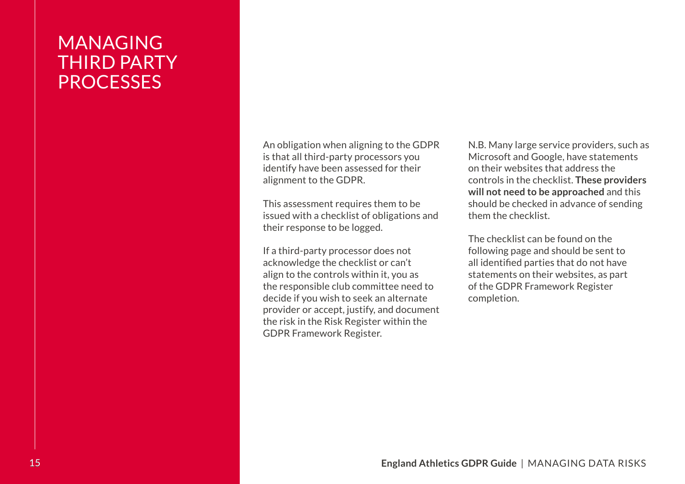## MANAGING THIRD PARTY **PROCESSES**

An obligation when aligning to the GDPR is that all third-party processors you identify have been assessed for their alignment to the GDPR.

This assessment requires them to be issued with a checklist of obligations and their response to be logged.

If a third-party processor does not acknowledge the checklist or can't align to the controls within it, you as the responsible club committee need to decide if you wish to seek an alternate provider or accept, justify, and document the risk in the Risk Register within the GDPR Framework Register.

N.B. Many large service providers, such as Microsoft and Google, have statements on their websites that address the controls in the checklist. **These providers will not need to be approached** and this should be checked in advance of sending them the checklist.

 all identified parties that do not have The checklist can be found on the following page and should be sent to statements on their websites, as part of the GDPR Framework Register completion.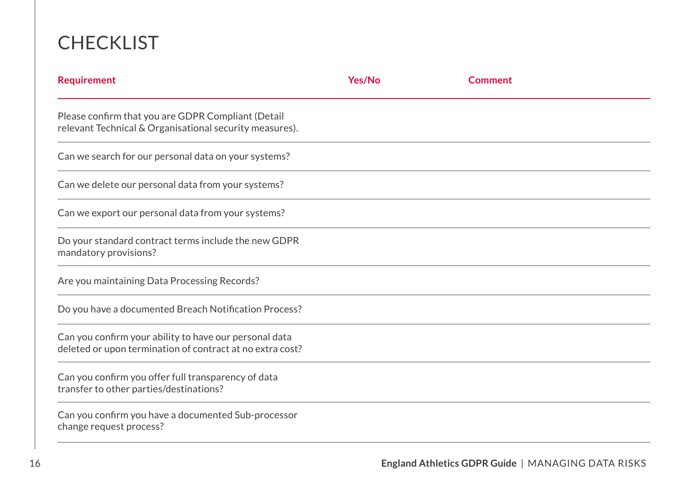## **CHECKLIST**

| <b>Requirement</b>                                                                                                  | <b>Yes/No</b> | <b>Comment</b> |  |
|---------------------------------------------------------------------------------------------------------------------|---------------|----------------|--|
| Please confirm that you are GDPR Compliant (Detail<br>relevant Technical & Organisational security measures).       |               |                |  |
| Can we search for our personal data on your systems?                                                                |               |                |  |
| Can we delete our personal data from your systems?                                                                  |               |                |  |
| Can we export our personal data from your systems?                                                                  |               |                |  |
| Do your standard contract terms include the new GDPR<br>mandatory provisions?                                       |               |                |  |
| Are you maintaining Data Processing Records?                                                                        |               |                |  |
| Do you have a documented Breach Notification Process?                                                               |               |                |  |
| Can you confirm your ability to have our personal data<br>deleted or upon termination of contract at no extra cost? |               |                |  |
| Can you confirm you offer full transparency of data<br>transfer to other parties/destinations?                      |               |                |  |
| Can you confirm you have a documented Sub-processor<br>change request process?                                      |               |                |  |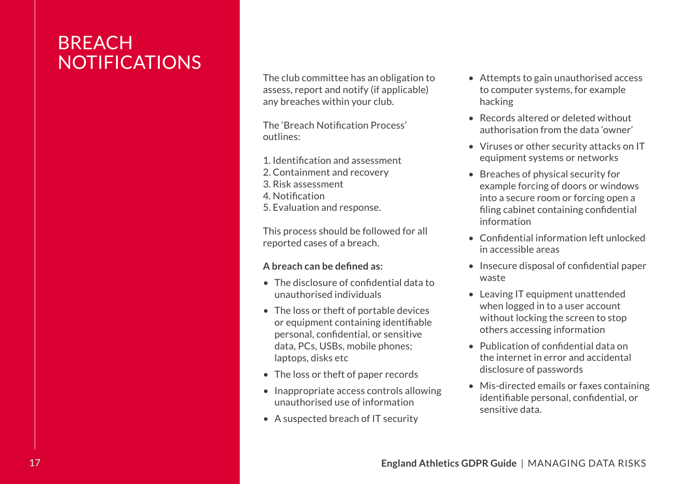## **BREACH** NOTIFICATIONS

The club committee has an obligation to assess, report and notify (if applicable) any breaches within your club.

 The 'Breach Notification Process' outlines:

- 1. Identification and assessment
- 2. Containment and recovery
- 3. Risk assessment
- 4. Notification
- 5. Evaluation and response.

This process should be followed for all reported cases of a breach.

#### **A breach can be defined as:**

- The disclosure of confidential data to unauthorised individuals
- or equipment containing identifiable personal, confidential, or sensitive • The loss or theft of portable devices data, PCs, USBs, mobile phones; laptops, disks etc
- The loss or theft of paper records
- Inappropriate access controls allowing unauthorised use of information
- A suspected breach of IT security
- Attempts to gain unauthorised access to computer systems, for example hacking
- Records altered or deleted without authorisation from the data 'owner'
- Viruses or other security attacks on IT equipment systems or networks
- filing cabinet containing confidential • Breaches of physical security for example forcing of doors or windows into a secure room or forcing open a information
- Confidential information left unlocked in accessible areas
- Insecure disposal of confidential paper waste
- Leaving IT equipment unattended when logged in to a user account without locking the screen to stop others accessing information
- Publication of confidential data on the internet in error and accidental disclosure of passwords
- identifiable personal, confidential, or • Mis-directed emails or faxes containing sensitive data.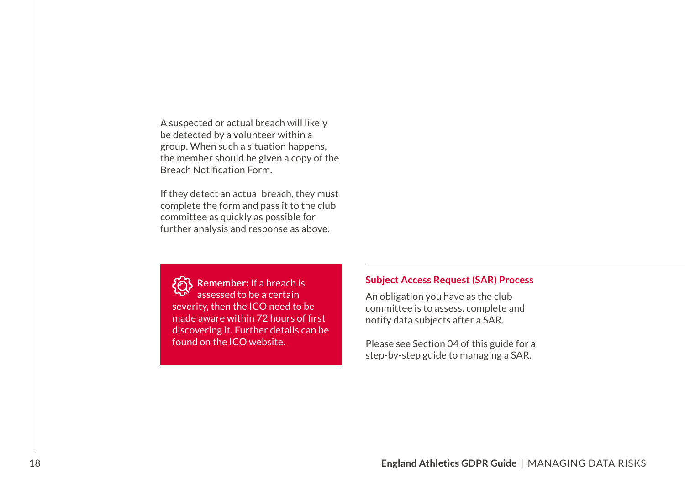Breach Notification Form. A suspected or actual breach will likely be detected by a volunteer within a group. When such a situation happens, the member should be given a copy of the

If they detect an actual breach, they must complete the form and pass it to the club committee as quickly as possible for further analysis and response as above.

 made aware within 72 hours of first **Remember:** If a breach is assessed to be a certain severity, then the ICO need to be discovering it. Further details can be found on the **ICO** website.

#### **Subject Access Request (SAR) Process**

An obligation you have as the club committee is to assess, complete and notify data subjects after a SAR.

Please see Section 04 of this guide for a step-by-step guide to managing a SAR.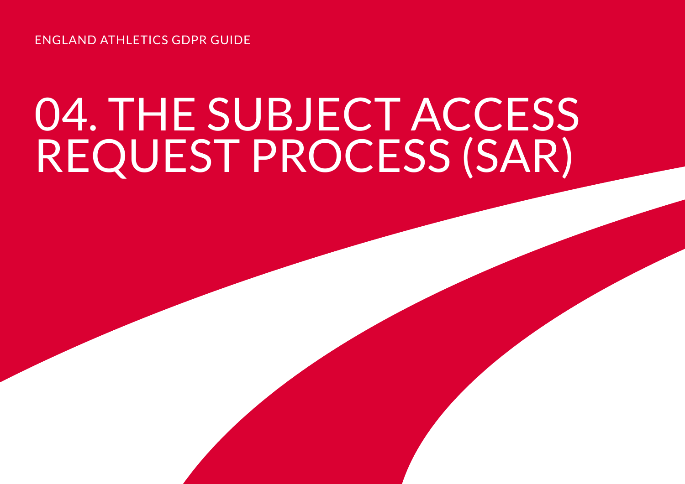ENGLAND ATHLETICS GDPR GUIDE

# 04. THE SUBJECT ACCESS REQUEST PROCESS (SAR)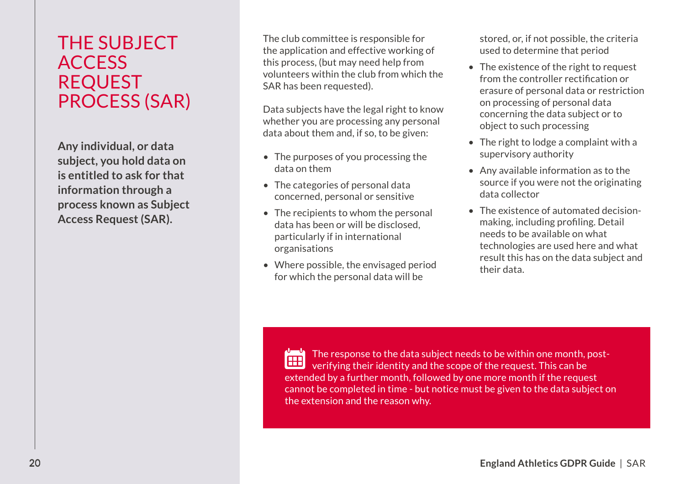## THE SUBJECT **ACCESS** REQUEST PROCESS (SAR)

**Any individual, or data subject, you hold data on is entitled to ask for that information through a process known as Subject Access Request (SAR).** 

The club committee is responsible for the application and effective working of this process, (but may need help from volunteers within the club from which the SAR has been requested).

Data subjects have the legal right to know whether you are processing any personal data about them and, if so, to be given:

- The purposes of you processing the data on them
- The categories of personal data concerned, personal or sensitive
- The recipients to whom the personal data has been or will be disclosed, particularly if in international organisations
- Where possible, the envisaged period for which the personal data will be

stored, or, if not possible, the criteria used to determine that period

- from the controller rectification or • The existence of the right to request erasure of personal data or restriction on processing of personal data concerning the data subject or to object to such processing
- The right to lodge a complaint with a supervisory authority
- Any available information as to the source if you were not the originating data collector
- making, including profiling. Detail • The existence of automated decisionneeds to be available on what technologies are used here and what result this has on the data subject and their data.

曾 The response to the data subject needs to be within one month, postverifying their identity and the scope of the request. This can be extended by a further month, followed by one more month if the request cannot be completed in time - but notice must be given to the data subject on the extension and the reason why.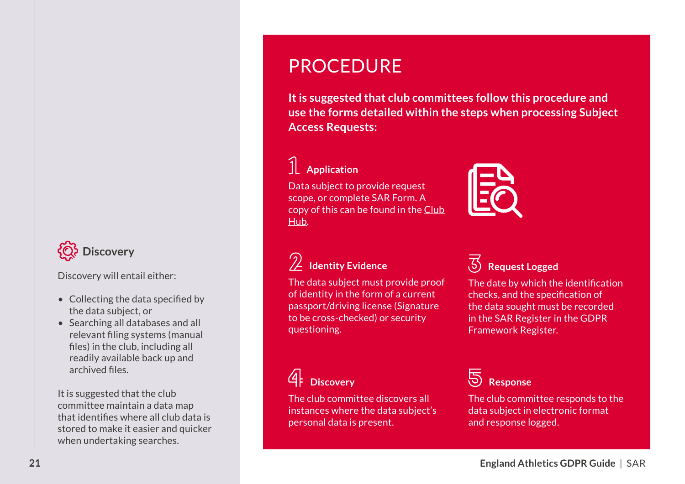## **Discovery**

Discovery will entail either:

- Collecting the data specified by the data subject, or
- relevant filing systems (manual files) in the club, including all • Searching all databases and all readily available back up and archived files.

 that identifies where all club data is It is suggested that the club committee maintain a data map stored to make it easier and quicker when undertaking searches.

## **PROCEDURE**

**It is suggested that club committees follow this procedure and use the forms detailed within the steps when processing Subject Access Requests:** 

## **Application**

Data subject to provide request scope, or complete SAR Form. A copy of this can be found in the [Club](http://www.englandathletics.org/resources)  [Hub](http://www.englandathletics.org/resources).



## **Identity Evidence**

 passport/driving license (Signature The data subject must provide proof of identity in the form of a current to be cross-checked) or security questioning.

## **Request Logged**

 The date by which the identification checks, and the specification of the data sought must be recorded in the SAR Register in the GDPR Framework Register.

## **Discovery**

The club committee discovers all instances where the data subject's personal data is present.

**b** Response

The club committee responds to the data subject in electronic format and response logged.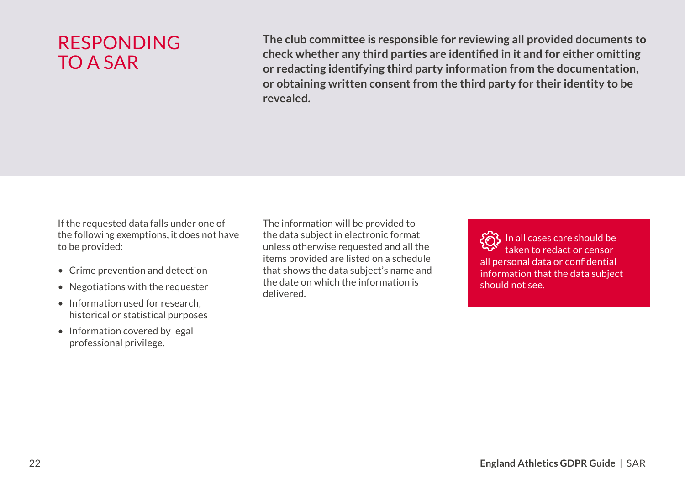RESPONDING The club committee is responsible for reviewing all provided documents to<br>check whether any third parties are identified in it and for either omitting **check whether any third parties are identified in it and for either omitting** TO A SAR **or redacting identifying third party information from the documentation, or obtaining written consent from the third party for their identity to be revealed.** 

If the requested data falls under one of the following exemptions, it does not have to be provided:

- Crime prevention and detection
- Negotiations with the requester
- Information used for research, historical or statistical purposes • Negotiations with the requester<br>
the cate on which the information is<br>
e Information used for research,<br>
historical or statistical purposes<br>
professional privilege.<br>
professional privilege.<br>
<br> **England Athletics GDPR Gui** 
	- Information covered by legal professional privilege.

The information will be provided to the data subject in electronic format unless otherwise requested and all the items provided are listed on a schedule that shows the data subject's name and the date on which the information is delivered.

 all personal data or confidential In all cases care should be taken to redact or censor information that the data subject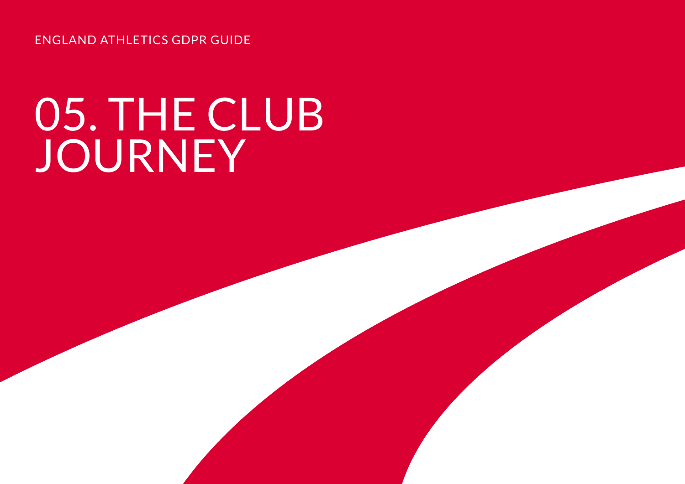ENGLAND ATHLETICS GDPR GUIDE

# 05. THE CLUB JOURNEY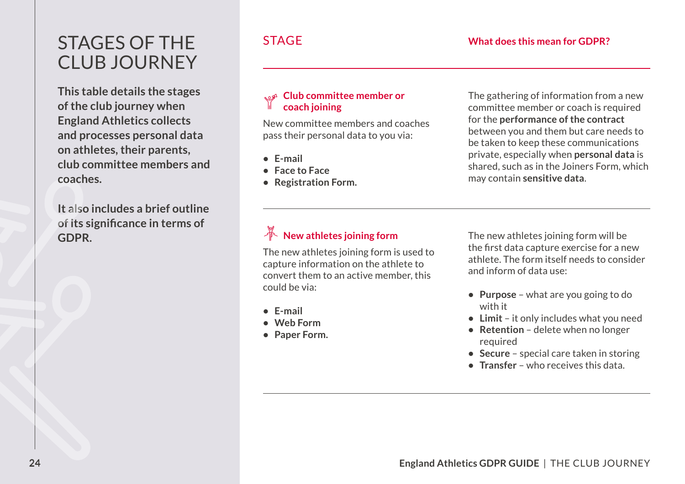## STAGES OF THE CLUB JOURNEY

**This table details the stages of the club journey when England Athletics collects and processes personal data on athletes, their parents, club committee members and coaches.** 

**It also includes a brief outline of its significance in terms of GDPR.** 

#### **Club committee member or coach joining**

New committee members and coaches pass their personal data to you via:

- **• E-mail**
- **• Face to Face**
- **• Registration Form.**

The gathering of information from a new committee member or coach is required for the **performance of the contract**  between you and them but care needs to be taken to keep these communications private, especially when **personal data** is shared, such as in the Joiners Form, which may contain **sensitive data**.

### **New athletes joining form**

The new athletes joining form is used to capture information on the athlete to convert them to an active member, this could be via:

- **• E-mail**
- **• Web Form**
- **• Paper Form.**

 the first data capture exercise for a new The new athletes joining form will be athlete. The form itself needs to consider and inform of data use:

- **• Purpose** what are you going to do with it
- **• Limit** it only includes what you need
- **• Retention** delete when no longer required
- **• Secure** special care taken in storing
- **• Transfer** who receives this data.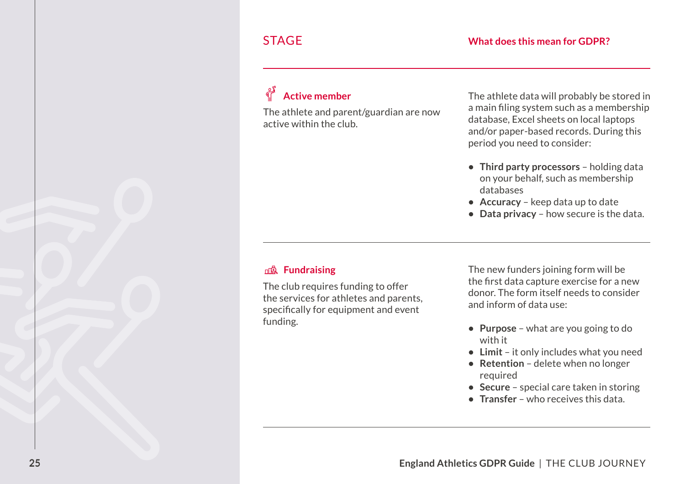#### **Active member**

The athlete and parent/guardian are now a main filing system such as a active within the club.

 and/or paper-based records. During this The athlete data will probably be stored in a main filing system such as a membership database, Excel sheets on local laptops period you need to consider:

- **• Third party processors**  holding data on your behalf, such as membership databases
- **• Accuracy** keep data up to date
- **• Data privacy**  how secure is the data.

#### **Fundraising**

 specifically for equipment and event The club requires funding to offer the services for athletes and parents, funding.

 the first data capture exercise for a new The new funders joining form will be donor. The form itself needs to consider and inform of data use:

- **• Purpose** what are you going to do with it
- **• Limit** it only includes what you need
- **• Retention** delete when no longer required
- **• Secure** special care taken in storing
- **• Transfer** who receives this data.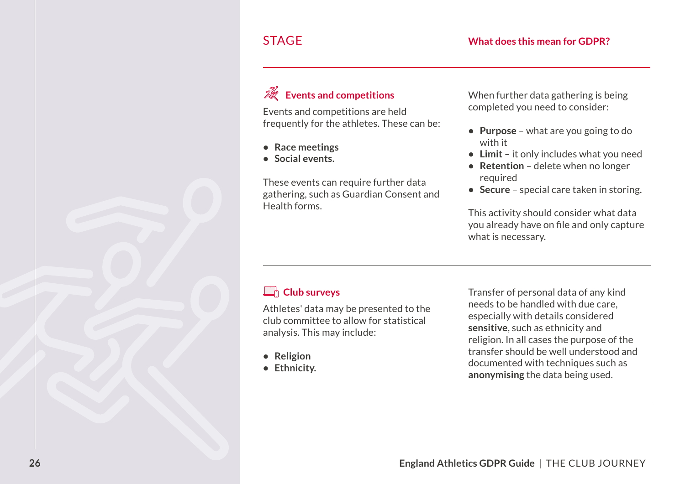### **Events and competitions**

Events and competitions are held frequently for the athletes. These can be:

- **• Race meetings**
- **• Social events.**

These events can require further data gathering, such as Guardian Consent and Health forms.

When further data gathering is being completed you need to consider:

- **• Purpose** what are you going to do with it
- **• Limit** it only includes what you need
- **• Retention** delete when no longer required
- **• Secure** special care taken in storing.

 you already have on file and only capture This activity should consider what data what is necessary.

#### **Club surveys**

Athletes' data may be presented to the club committee to allow for statistical analysis. This may include:

- **• Religion**
- **• Ethnicity.**

Transfer of personal data of any kind needs to be handled with due care, especially with details considered **sensitive**, such as ethnicity and religion. In all cases the purpose of the transfer should be well understood and documented with techniques such as **anonymising** the data being used.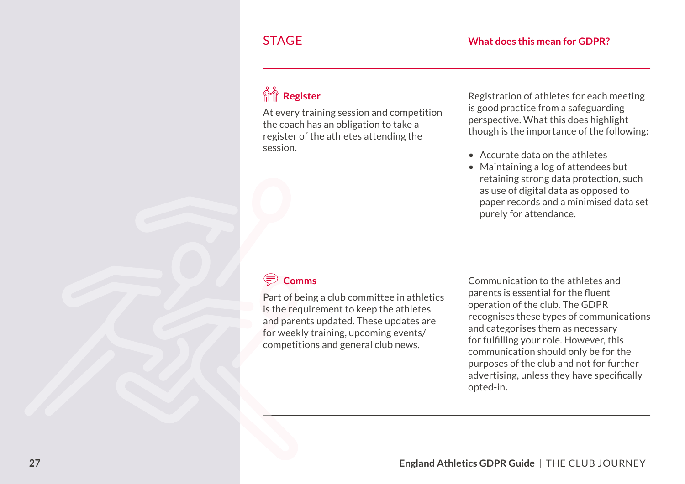## **Register**

At every training session and competition the coach has an obligation to take a register of the athletes attending the session.

Registration of athletes for each meeting is good practice from a safeguarding perspective. What this does highlight though is the importance of the following:

- Accurate data on the athletes
- Maintaining a log of attendees but retaining strong data protection, such as use of digital data as opposed to paper records and a minimised data set purely for attendance.

### **Comms**

 for weekly training, upcoming events/ Part of being a club committee in athletics is the requirement to keep the athletes and parents updated. These updates are competitions and general club news.

 parents is essential for the fluent for fulfilling your role. However, this advertising, unless they have specifically Communication to the athletes and operation of the club. The GDPR recognises these types of communications and categorises them as necessary communication should only be for the purposes of the club and not for further opted-in**.**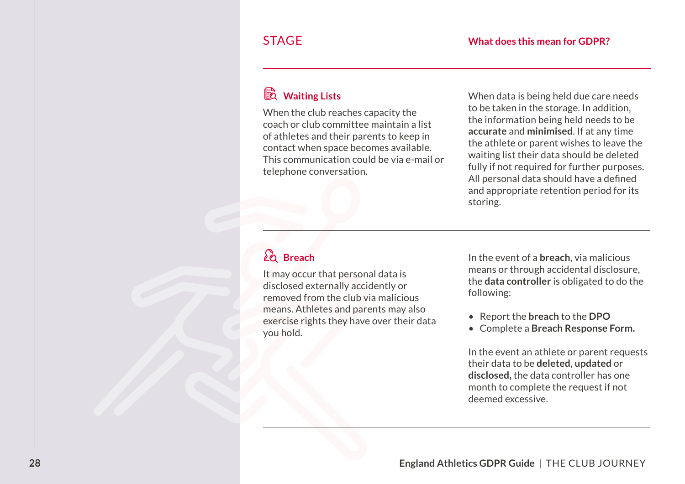### **Waiting Lists**

When the club reaches capacity the coach or club committee maintain a list of athletes and their parents to keep in contact when space becomes available. This communication could be via e-mail or telephone conversation.

 All personal data should have a defined When data is being held due care needs to be taken in the storage. In addition, the information being held needs to be **accurate** and **minimised**. If at any time the athlete or parent wishes to leave the waiting list their data should be deleted fully if not required for further purposes. and appropriate retention period for its storing.

### **Breach**

It may occur that personal data is disclosed externally accidently or removed from the club via malicious means. Athletes and parents may also exercise rights they have over their data you hold.

In the event of a **breach**, via malicious means or through accidental disclosure, the **data controller** is obligated to do the following:

- Report the **breach** to the **DPO**
- Complete a **Breach Response Form.**

In the event an athlete or parent requests their data to be **deleted**, **updated** or **disclosed,** the data controller has one month to complete the request if not deemed excessive.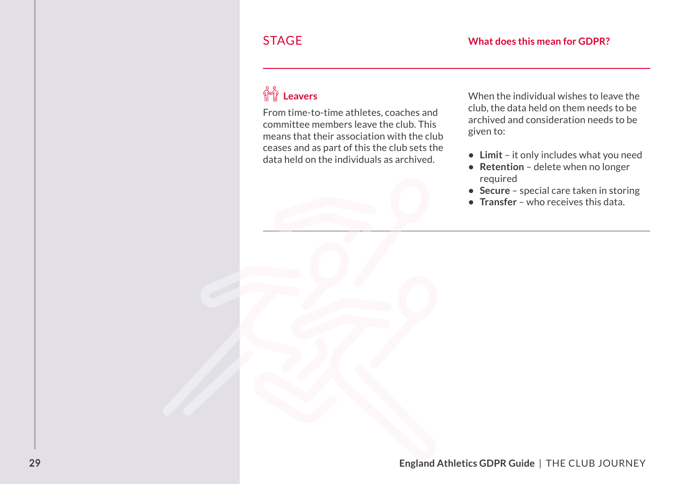## **Leavers**

From time-to-time athletes, coaches and committee members leave the club. This means that their association with the club ceases and as part of this the club sets the data held on the individuals as archived.

When the individual wishes to leave the club, the data held on them needs to be archived and consideration needs to be given to:

- **• Limit** it only includes what you need
- **• Retention** delete when no longer required
- **• Secure** special care taken in storing
- **• Transfer** who receives this data.